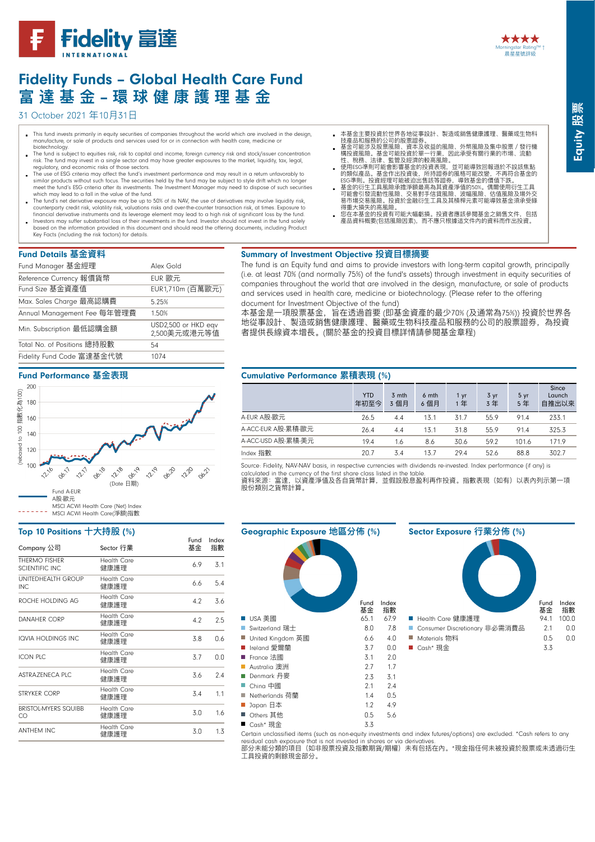

# Fidelity Funds – Global Health Care Fund **富 達 基 ⾦金金** – **環 球 健 康 護 理理 基 ⾦金金**

31 October 2021 年10月31日

- This fund invests primarily in equity securities of companies throughout the world which are involved in the design, manufacture, or sale of products and services used for or in connection with health care, medicine or
- biotechnology. The fund is subject to equities risk, risk to capital and income, foreign currency risk and stock/issuer concentration risk. The fund may invest in a single sector and may have greater exposures to the market, liquidity, tax, legal, regulatory, and economic risks of those sectors.
- The use of ESG criteria may affect the fund's investment performance and may result in a return unfavorably to similar products without such focus. The securities held by the fund may be subject to style drift which no longer<br>meet the fund's ESG criteria after its investments. The Investment Manager may need to dispose of such secu
- The fund's net derivative exposure may be up to 50% of its NAV, the use of derivatives may involve liquidity risk,<br>counterparty credit risk, volatility risk, valuations risks and over-the-counter transaction risk, at times
- financial derivative instruments and its leverage element may lead to a high risk of significant loss by the fund.<br>Investors may suffer substantial loss of their investments in the fund. Investor should not invest in the f based on the information provided in this document and should read the offering documents, including Product Key Facts (including the risk factors) for details.

### Fund Details **基⾦金金資料料**

| Fund Manager 基金經理           | Alex Gold                           |
|-----------------------------|-------------------------------------|
| Reference Currency 報價貨幣     | EUR 歐元                              |
| Fund Size 基金資產值             | EUR1,710m (百萬歐元)                    |
| Max. Sales Charge 最高認購費     | 5.25%                               |
| Annual Management Fee 每年管理費 | 1.50%                               |
| Min. Subscription 最低認購金額    | USD2,500 or HKD eqv<br>2,500美元或港元等值 |
| Total No. of Positions 總持股數 | 54                                  |
| Fidelity Fund Code 富達基金代號   | 1074                                |

#### Fund Performance **基⾦金金表現**



# Top 10 Positions **⼗十⼤大持股** (%)

| Company 公司                             | Sector 行業                  | Fund<br>基金 | Index<br>指數 |
|----------------------------------------|----------------------------|------------|-------------|
| THERMO FISHER<br><b>SCIENTIFIC INC</b> | <b>Health Care</b><br>健康護理 | 6.9        | 3.1         |
| UNITEDHEALTH GROUP<br>INC.             | <b>Health Care</b><br>健康護理 | 6.6        | 5.4         |
| ROCHE HOLDING AG                       | Health Care<br>健康護理        | 4.2        | 3.6         |
| DANAHER CORP                           | Health Care<br>健康護理        | 4.2        | 2.5         |
| <b>IQVIA HOLDINGS INC</b>              | <b>Health Care</b><br>健康護理 | 3.8        | 0.6         |
| ICON PLC                               | Health Care<br>健康護理        | 3.7        | 0.0         |
| ASTRAZENECA PIC                        | Health Care<br>健康護理        | 3.6        | 2.4         |
| STRYKER CORP                           | Health Care<br>健康護理        | 3.4        | 1.1         |
| <b>BRISTOL-MYERS SQUIBB</b><br>CO      | Health Care<br>健康護理        | 3.0        | 1.6         |
| <b>ANTHEM INC</b>                      | Health Care<br>健康護理        | 3.0        | 1.3         |

- 
- 本基金主要投資於世界各地從事設計、製造或銷售健康護理、醫藥或生物科<br>技產品和服務的公司的股票證券。<br>基孟可能及及股票固險、資本及收益的風險、外幣風險及集中股票/發行機<br>構投資風險。基金可能投資於單一行業,因此承受有關行業的市場、流動<br>性、稅務、法律、監管及經濟的較高風險。
- 
- 使用ESG準則可能會影響基金的投資表現,並可能導致回報遜於不設該焦點<br>的類似產品。基金作出投資後,所持證券的風格可能改變,不再符合基金的<br>ESG準則。投資經理可能被迫出售該等證券,導致基金的價值下跌。<br>基基金的衍生工具風險承擔淨額高為其資產淨值的50%。偶爾使用衍生工具<br>基產的行生工具風險承擔? 易市場交易風險。投資於金融衍生工具及其槓桿元素可能導致基金須承受錄<br>得重大損失的高風險。
- □○主△汉△□□□□□》。<br>您在本基金的投資有可能大幅虧損。投資者應該參閱基金之銷售文件,包括 產品資料概要(包括風險因素),而不應只根據這文件內的資料而作出投資。
- Summary of Investment Objective **投資⽬目標摘要**

The fund is an Equity fund and aims to provide investors with long-term capital growth, principally (i.e. at least 70% (and normally 75%) of the fund's assets) through investment in equity securities of companies throughout the world that are involved in the design, manufacture, or sale of products and services used in health care, medicine or biotechnology. (Please refer to the offering document for Investment Objective of the fund)

本基金是一項股票基金,旨在透過首要 (即基金資產的最少70% (及通常為75%)) 投資於世界各 地從事設計、製造或銷售健康護理、醫藥或生物科技產品和服務的公司的股票證券,為投資 者提供長線資本增長。(關於基金的投資目標詳情請參閱基金章程)

## Cumulative Performance **累積表現** (%)

|                    | <b>YTD</b><br>年初至今 | 3 mth<br>3個月 | 6 mth<br>6 個月 | 1 yr<br>1年 | 3 yr<br>3年 | 5 yr<br>5年 | Since<br>Launch<br>自推出以來 |
|--------------------|--------------------|--------------|---------------|------------|------------|------------|--------------------------|
| A-EUR A股-歐元        | 26.5               | 4.4          | 13.1          | 31.7       | 55.9       | 91.4       | 233.1                    |
| A-ACC-EUR A股-累積-歐元 | 26.4               | 4.4          | 13.1          | 31.8       | 559        | 914        | 325.3                    |
| A-ACC-USD A股-累積-美元 | 19.4               | 1.6          | 8.6           | 30.6       | 59.2       | 101.6      | 171.9                    |
| Index 指數           | 20.7               | 3.4          | 13.7          | 29.4       | 52.6       | 88.8       | 302.7                    |

Source: Fidelity, NAV-NAV basis, in respective currencies with dividends re-invested. Index performance (if any) is calculated in the currency of the first share class listed in the table.<br>資料來源:富達,以資產淨值及各自貨幣計算,並假設股息盈利再作投資。指數表現(如有)以表內列示第一項

股份類類別之貨幣計算。



Certain unclassified items (such as non-equity investments and index futures/options) are excluded. \*Cash refers to any residual cash exposure that is not invested in shares or via derivatives.

部分未能分類的項目(如非股票投資及指數期貨/期權)未有包括在內。\*現金指任何未被投資於股票或未透過衍生 工具投資的剩餘現金部分。